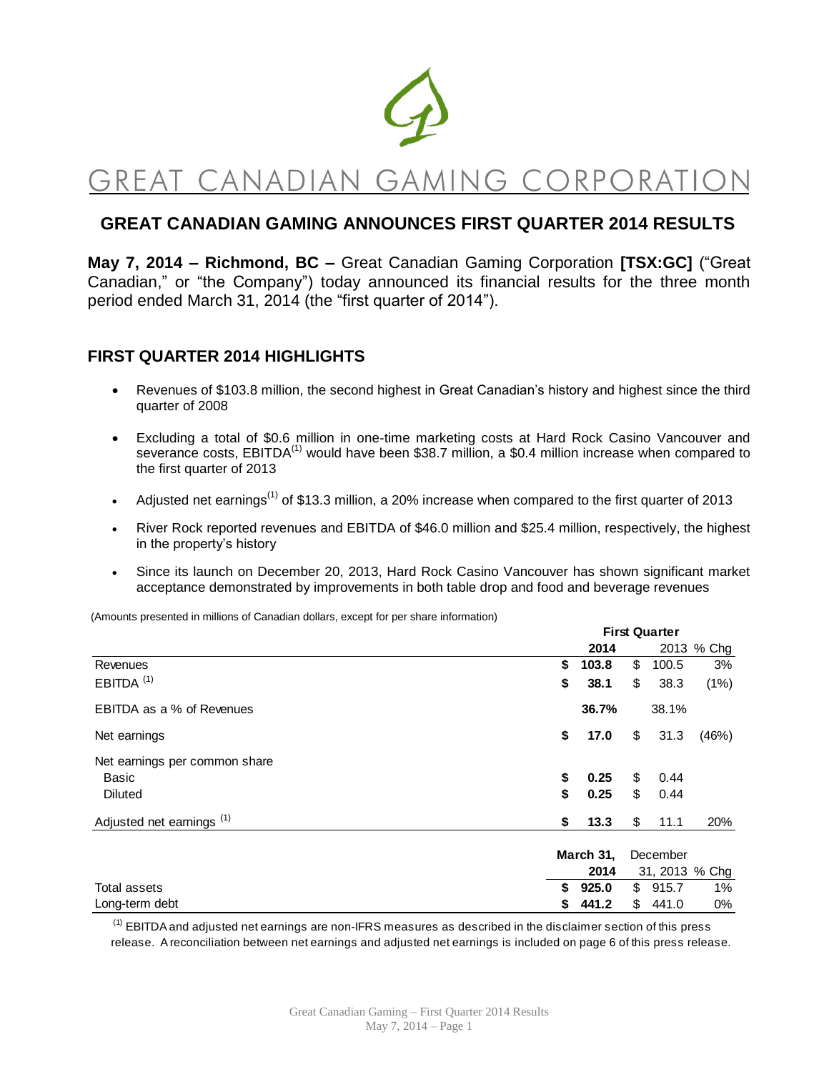

# GREAT CANADIAN GAMING CORPORATI

## **GREAT CANADIAN GAMING ANNOUNCES FIRST QUARTER 2014 RESULTS**

**May 7, 2014 – Richmond, BC –** Great Canadian Gaming Corporation **[TSX:GC]** ("Great Canadian," or "the Company") today announced its financial results for the three month period ended March 31, 2014 (the "first quarter of 2014").

### **FIRST QUARTER 2014 HIGHLIGHTS**

- Revenues of \$103.8 million, the second highest in Great Canadian's history and highest since the third quarter of 2008
- Excluding a total of \$0.6 million in one-time marketing costs at Hard Rock Casino Vancouver and severance costs, EBITDA<sup>(1)</sup> would have been \$38.7 million, a \$0.4 million increase when compared to the first quarter of 2013
- Adjusted net earnings<sup>(1)</sup> of \$13.3 million, a 20% increase when compared to the first quarter of 2013
- River Rock reported revenues and EBITDA of \$46.0 million and \$25.4 million, respectively, the highest in the property's history
- Since its launch on December 20, 2013, Hard Rock Casino Vancouver has shown significant market acceptance demonstrated by improvements in both table drop and food and beverage revenues

(Amounts presented in millions of Canadian dollars, except for per share information)

|                                      |    | <b>First Quarter</b> |    |          |                |
|--------------------------------------|----|----------------------|----|----------|----------------|
|                                      |    | 2014                 |    |          | 2013 % Chg     |
| Revenues                             | \$ | 103.8                | \$ | 100.5    | 3%             |
| $EBITDA$ <sup>(1)</sup>              | \$ | 38.1                 | \$ | 38.3     | (1%)           |
| EBITDA as a % of Revenues            |    | 36.7%                |    | 38.1%    |                |
| Net earnings                         | \$ | 17.0                 | \$ | 31.3     | (46%)          |
| Net earnings per common share        |    |                      |    |          |                |
| Basic                                | \$ | 0.25                 | \$ | 0.44     |                |
| <b>Diluted</b>                       | \$ | 0.25                 | \$ | 0.44     |                |
| Adjusted net earnings <sup>(1)</sup> | \$ | 13.3                 | \$ | 11.1     | 20%            |
|                                      |    | March 31,            |    | December |                |
|                                      |    | 2014                 |    |          | 31, 2013 % Chg |
| Total assets                         | \$ | 925.0                | \$ | 915.7    | $1\%$          |
| Long-term debt                       | 5  | 441.2                | \$ | 441.0    | 0%             |

 $<sup>(1)</sup>$  EBITDA and adjusted net earnings are non-IFRS measures as described in the disclaimer section of this press</sup> release. A reconciliation between net earnings and adjusted net earnings is included on page 6 of this press release.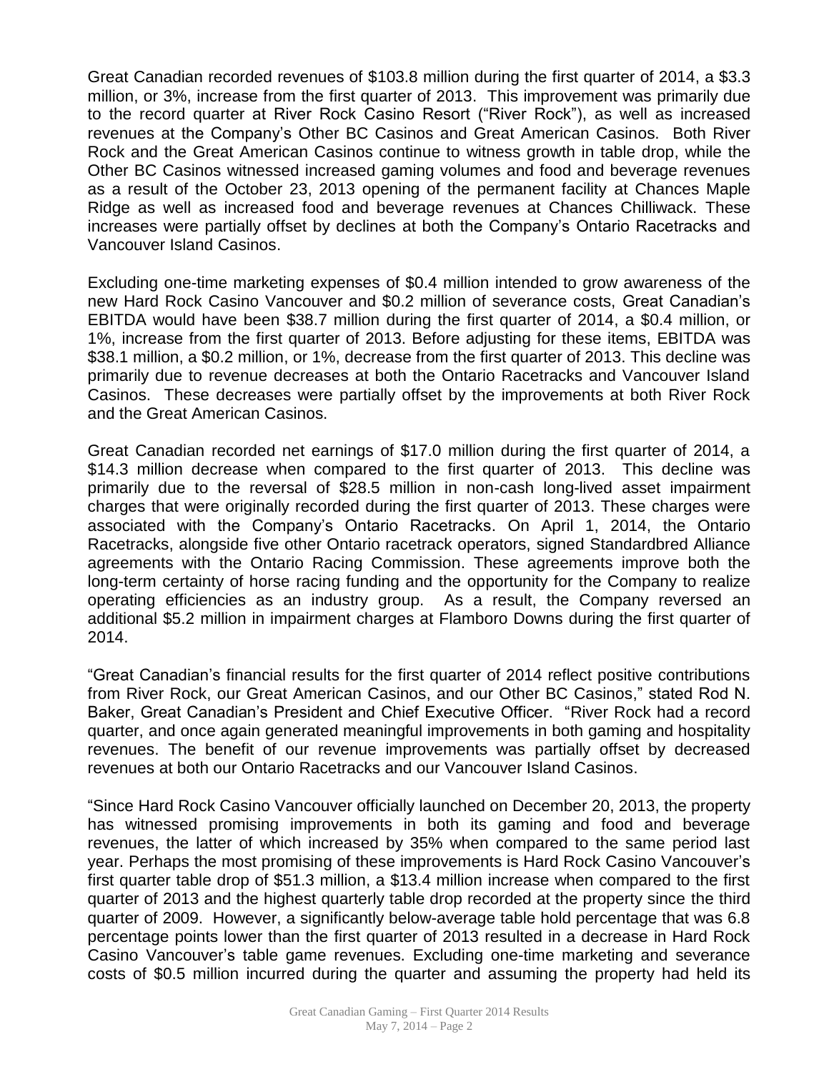Great Canadian recorded revenues of \$103.8 million during the first quarter of 2014, a \$3.3 million, or 3%, increase from the first quarter of 2013. This improvement was primarily due to the record quarter at River Rock Casino Resort ("River Rock"), as well as increased revenues at the Company's Other BC Casinos and Great American Casinos. Both River Rock and the Great American Casinos continue to witness growth in table drop, while the Other BC Casinos witnessed increased gaming volumes and food and beverage revenues as a result of the October 23, 2013 opening of the permanent facility at Chances Maple Ridge as well as increased food and beverage revenues at Chances Chilliwack. These increases were partially offset by declines at both the Company's Ontario Racetracks and Vancouver Island Casinos.

Excluding one-time marketing expenses of \$0.4 million intended to grow awareness of the new Hard Rock Casino Vancouver and \$0.2 million of severance costs, Great Canadian's EBITDA would have been \$38.7 million during the first quarter of 2014, a \$0.4 million, or 1%, increase from the first quarter of 2013. Before adjusting for these items, EBITDA was \$38.1 million, a \$0.2 million, or 1%, decrease from the first quarter of 2013. This decline was primarily due to revenue decreases at both the Ontario Racetracks and Vancouver Island Casinos. These decreases were partially offset by the improvements at both River Rock and the Great American Casinos.

Great Canadian recorded net earnings of \$17.0 million during the first quarter of 2014, a \$14.3 million decrease when compared to the first quarter of 2013. This decline was primarily due to the reversal of \$28.5 million in non-cash long-lived asset impairment charges that were originally recorded during the first quarter of 2013. These charges were associated with the Company's Ontario Racetracks. On April 1, 2014, the Ontario Racetracks, alongside five other Ontario racetrack operators, signed Standardbred Alliance agreements with the Ontario Racing Commission. These agreements improve both the long-term certainty of horse racing funding and the opportunity for the Company to realize operating efficiencies as an industry group. As a result, the Company reversed an additional \$5.2 million in impairment charges at Flamboro Downs during the first quarter of 2014.

"Great Canadian's financial results for the first quarter of 2014 reflect positive contributions from River Rock, our Great American Casinos, and our Other BC Casinos," stated Rod N. Baker, Great Canadian's President and Chief Executive Officer. "River Rock had a record quarter, and once again generated meaningful improvements in both gaming and hospitality revenues. The benefit of our revenue improvements was partially offset by decreased revenues at both our Ontario Racetracks and our Vancouver Island Casinos.

"Since Hard Rock Casino Vancouver officially launched on December 20, 2013, the property has witnessed promising improvements in both its gaming and food and beverage revenues, the latter of which increased by 35% when compared to the same period last year. Perhaps the most promising of these improvements is Hard Rock Casino Vancouver's first quarter table drop of \$51.3 million, a \$13.4 million increase when compared to the first quarter of 2013 and the highest quarterly table drop recorded at the property since the third quarter of 2009. However, a significantly below-average table hold percentage that was 6.8 percentage points lower than the first quarter of 2013 resulted in a decrease in Hard Rock Casino Vancouver's table game revenues. Excluding one-time marketing and severance costs of \$0.5 million incurred during the quarter and assuming the property had held its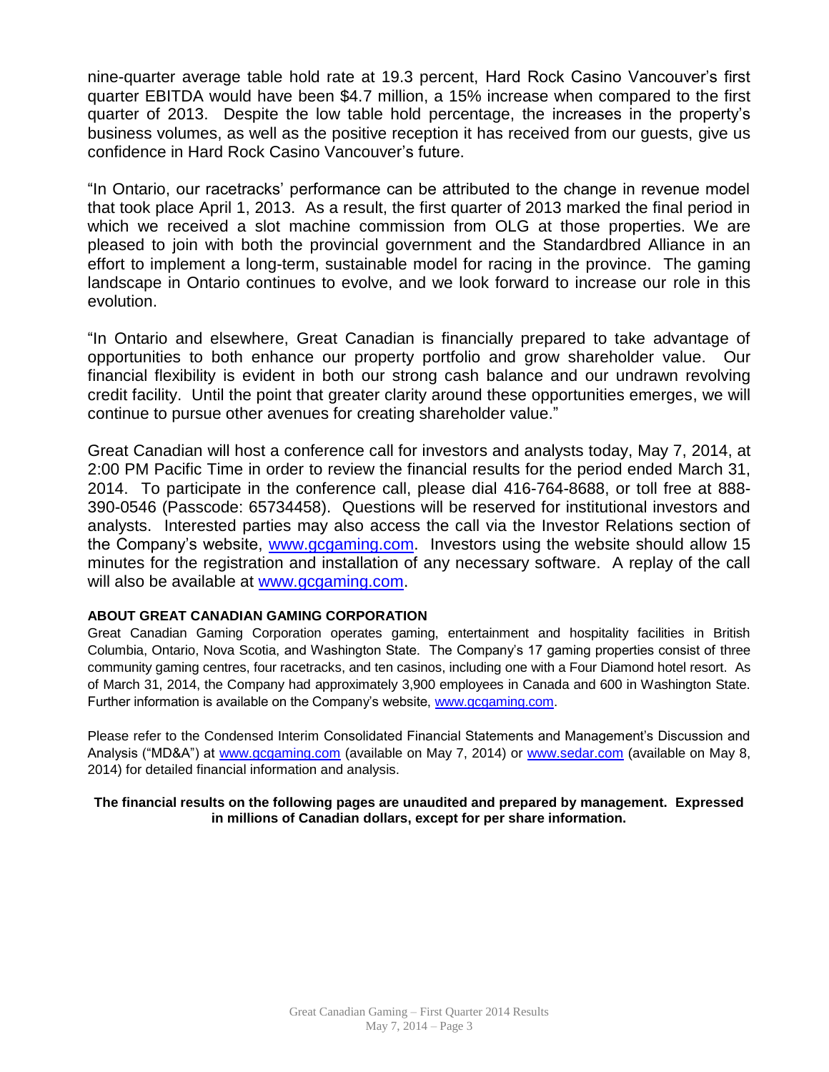nine-quarter average table hold rate at 19.3 percent, Hard Rock Casino Vancouver's first quarter EBITDA would have been \$4.7 million, a 15% increase when compared to the first quarter of 2013. Despite the low table hold percentage, the increases in the property's business volumes, as well as the positive reception it has received from our guests, give us confidence in Hard Rock Casino Vancouver's future.

"In Ontario, our racetracks' performance can be attributed to the change in revenue model that took place April 1, 2013. As a result, the first quarter of 2013 marked the final period in which we received a slot machine commission from OLG at those properties. We are pleased to join with both the provincial government and the Standardbred Alliance in an effort to implement a long-term, sustainable model for racing in the province. The gaming landscape in Ontario continues to evolve, and we look forward to increase our role in this evolution.

"In Ontario and elsewhere, Great Canadian is financially prepared to take advantage of opportunities to both enhance our property portfolio and grow shareholder value. Our financial flexibility is evident in both our strong cash balance and our undrawn revolving credit facility. Until the point that greater clarity around these opportunities emerges, we will continue to pursue other avenues for creating shareholder value."

Great Canadian will host a conference call for investors and analysts today, May 7, 2014, at 2:00 PM Pacific Time in order to review the financial results for the period ended March 31, 2014. To participate in the conference call, please dial 416-764-8688, or toll free at 888- 390-0546 (Passcode: 65734458). Questions will be reserved for institutional investors and analysts. Interested parties may also access the call via the Investor Relations section of the Company's website, [www.gcgaming.com.](http://www.gcgaming.com/) Investors using the website should allow 15 minutes for the registration and installation of any necessary software. A replay of the call will also be available at [www.gcgaming.com.](http://www.gcgaming.com/)

#### **ABOUT GREAT CANADIAN GAMING CORPORATION**

Great Canadian Gaming Corporation operates gaming, entertainment and hospitality facilities in British Columbia, Ontario, Nova Scotia, and Washington State. The Company's 17 gaming properties consist of three community gaming centres, four racetracks, and ten casinos, including one with a Four Diamond hotel resort. As of March 31, 2014, the Company had approximately 3,900 employees in Canada and 600 in Washington State. Further information is available on the Company's website, [www.gcgaming.com.](http://www.gcgaming.com/)

Please refer to the Condensed Interim Consolidated Financial Statements and Management's Discussion and Analysis ("MD&A") at [www.gcgaming.com](http://www.gcgaming.com/) (available on May 7, 2014) or [www.sedar.com](http://www.sedar.com/) (available on May 8, 2014) for detailed financial information and analysis.

**The financial results on the following pages are unaudited and prepared by management. Expressed in millions of Canadian dollars, except for per share information.**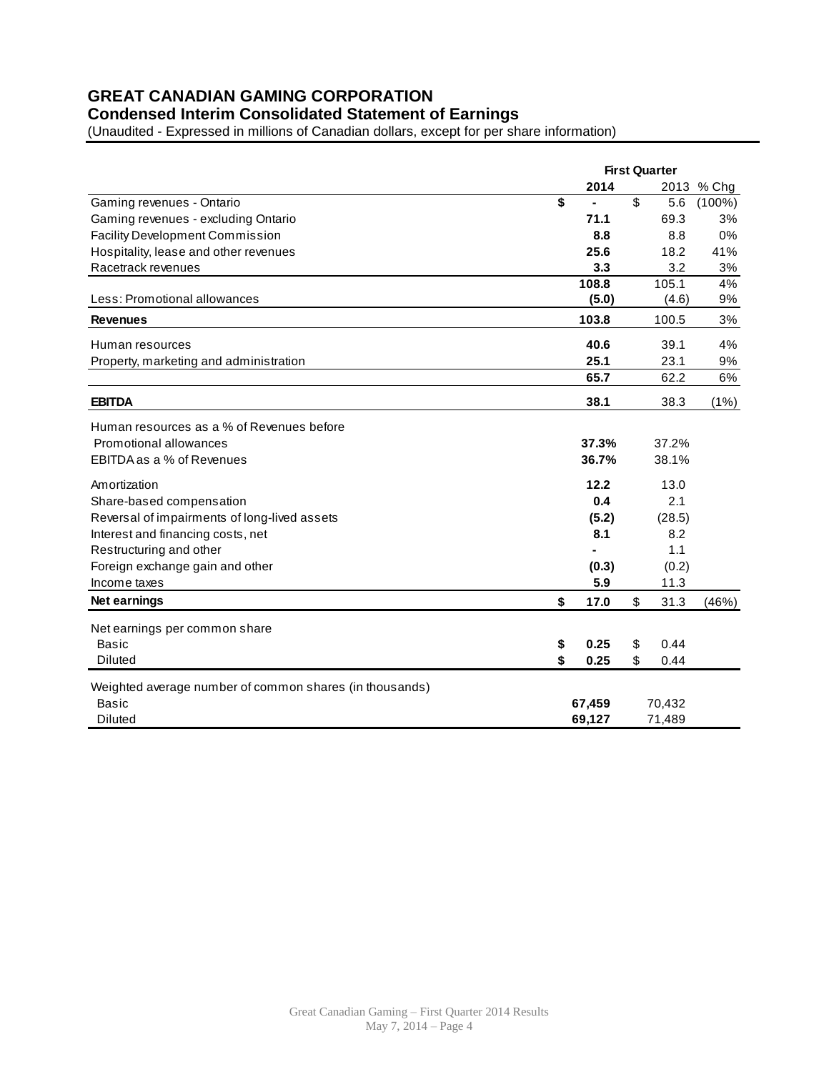# **GREAT CANADIAN GAMING CORPORATION**

# **Condensed Interim Consolidated Statement of Earnings**

(Unaudited - Expressed in millions of Canadian dollars, except for per share information)

|                                                         | <b>First Quarter</b> |    |        |            |
|---------------------------------------------------------|----------------------|----|--------|------------|
|                                                         | 2014                 |    |        | 2013 % Chg |
| Gaming revenues - Ontario                               | \$                   | \$ | 5.6    | $(100\%)$  |
| Gaming revenues - excluding Ontario                     | 71.1                 |    | 69.3   | 3%         |
| <b>Facility Development Commission</b>                  | 8.8                  |    | 8.8    | 0%         |
| Hospitality, lease and other revenues                   | 25.6                 |    | 18.2   | 41%        |
| Racetrack revenues                                      | 3.3                  |    | 3.2    | 3%         |
|                                                         | 108.8                |    | 105.1  | 4%         |
| Less: Promotional allowances                            | (5.0)                |    | (4.6)  | 9%         |
| <b>Revenues</b>                                         | 103.8                |    | 100.5  | 3%         |
| Human resources                                         | 40.6                 |    | 39.1   | 4%         |
| Property, marketing and administration                  | 25.1                 |    | 23.1   | 9%         |
|                                                         | 65.7                 |    | 62.2   | 6%         |
| <b>EBITDA</b>                                           | 38.1                 |    | 38.3   | $(1\%)$    |
| Human resources as a % of Revenues before               |                      |    |        |            |
| Promotional allowances                                  | 37.3%                |    | 37.2%  |            |
| EBITDA as a % of Revenues                               | 36.7%                |    | 38.1%  |            |
| Amortization                                            | 12.2                 |    | 13.0   |            |
| Share-based compensation                                | 0.4                  |    | 2.1    |            |
| Reversal of impairments of long-lived assets            | (5.2)                |    | (28.5) |            |
| Interest and financing costs, net                       | 8.1                  |    | 8.2    |            |
| Restructuring and other                                 |                      |    | 1.1    |            |
| Foreign exchange gain and other                         | (0.3)                |    | (0.2)  |            |
| Income taxes                                            | 5.9                  |    | 11.3   |            |
| Net earnings                                            | \$<br>17.0           | \$ | 31.3   | (46%)      |
| Net earnings per common share                           |                      |    |        |            |
| <b>Basic</b>                                            | \$<br>0.25           | \$ | 0.44   |            |
| <b>Diluted</b>                                          | \$<br>0.25           | \$ | 0.44   |            |
| Weighted average number of common shares (in thousands) |                      |    |        |            |
| Basic                                                   | 67,459               |    | 70,432 |            |
| <b>Diluted</b>                                          | 69,127               |    | 71,489 |            |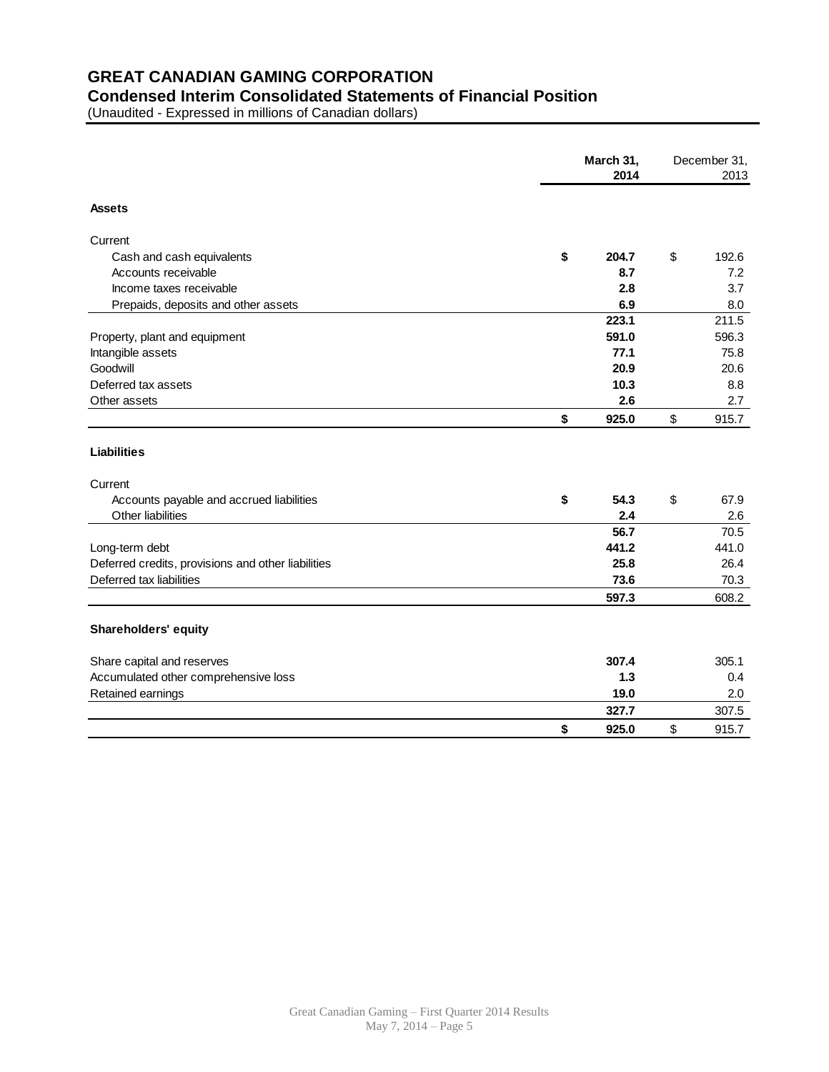## **GREAT CANADIAN GAMING CORPORATION**

#### **Condensed Interim Consolidated Statements of Financial Position**

(Unaudited - Expressed in millions of Canadian dollars)

|                                                    | March 31,<br>2014 | December 31,<br>2013 |       |
|----------------------------------------------------|-------------------|----------------------|-------|
| <b>Assets</b>                                      |                   |                      |       |
| Current                                            |                   |                      |       |
| Cash and cash equivalents                          | \$<br>204.7       | \$                   | 192.6 |
| Accounts receivable                                | 8.7               |                      | 7.2   |
| Income taxes receivable                            | 2.8               |                      | 3.7   |
| Prepaids, deposits and other assets                | 6.9               |                      | 8.0   |
|                                                    | 223.1             |                      | 211.5 |
| Property, plant and equipment                      | 591.0             |                      | 596.3 |
| Intangible assets                                  | 77.1              |                      | 75.8  |
| Goodwill                                           | 20.9              |                      | 20.6  |
| Deferred tax assets                                | 10.3              |                      | 8.8   |
| Other assets                                       | 2.6               |                      | 2.7   |
|                                                    | \$<br>925.0       | \$                   | 915.7 |
| <b>Liabilities</b>                                 |                   |                      |       |
| Current                                            |                   |                      |       |
| Accounts payable and accrued liabilities           | \$<br>54.3        | \$                   | 67.9  |
| Other liabilities                                  | 2.4               |                      | 2.6   |
|                                                    | 56.7              |                      | 70.5  |
| Long-term debt                                     | 441.2             |                      | 441.0 |
| Deferred credits, provisions and other liabilities | 25.8              |                      | 26.4  |
| Deferred tax liabilities                           | 73.6              |                      | 70.3  |
|                                                    | 597.3             |                      | 608.2 |
| <b>Shareholders' equity</b>                        |                   |                      |       |
| Share capital and reserves                         | 307.4             |                      | 305.1 |
| Accumulated other comprehensive loss               | $1.3$             |                      | 0.4   |
| Retained earnings                                  | 19.0              |                      | 2.0   |
|                                                    | 327.7             |                      | 307.5 |
|                                                    | \$<br>925.0       | \$                   | 915.7 |
|                                                    |                   |                      |       |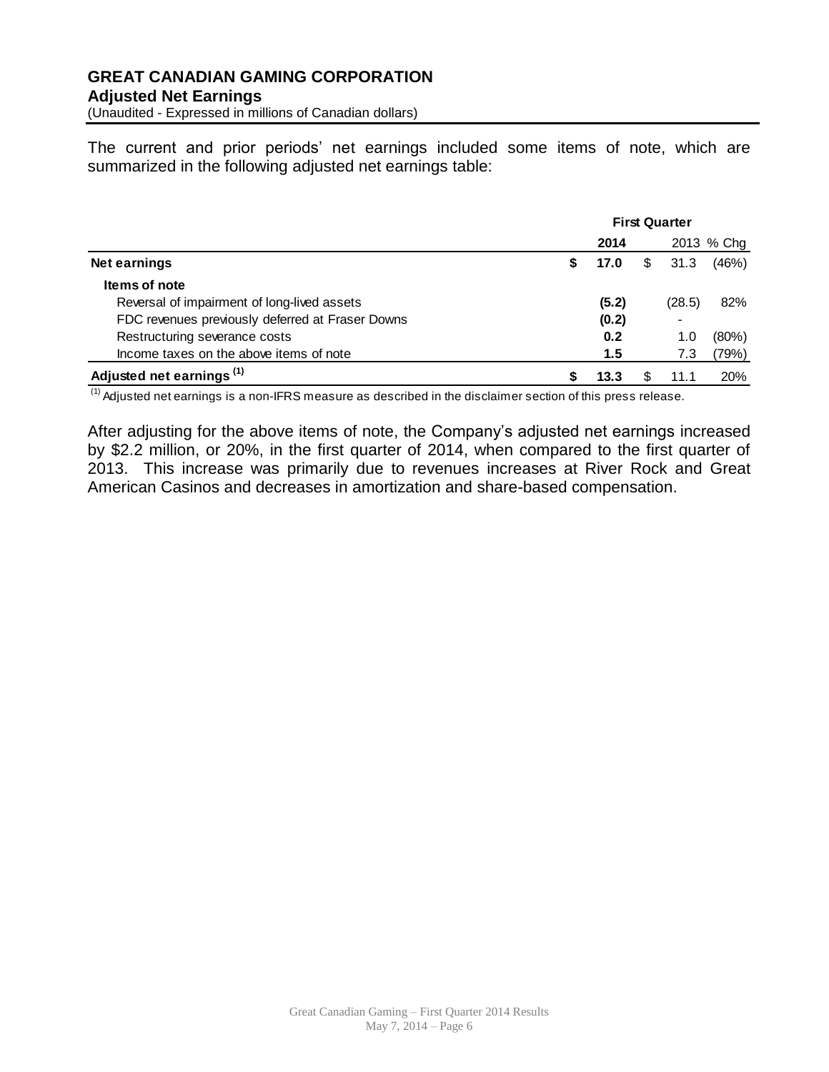(Unaudited - Expressed in millions of Canadian dollars)

The current and prior periods' net earnings included some items of note, which are summarized in the following adjusted net earnings table:

|                                                  | <b>First Quarter</b> |       |    |        |            |
|--------------------------------------------------|----------------------|-------|----|--------|------------|
|                                                  |                      | 2014  |    |        | 2013 % Chg |
| <b>Net earnings</b>                              | S                    | 17.0  | \$ | 31.3   | (46%)      |
| Items of note                                    |                      |       |    |        |            |
| Reversal of impairment of long-lived assets      |                      | (5.2) |    | (28.5) | 82%        |
| FDC revenues previously deferred at Fraser Downs |                      | (0.2) |    |        |            |
| Restructuring severance costs                    |                      | 0.2   |    | 1.0    | (80%)      |
| Income taxes on the above items of note          |                      | 1.5   |    | 7.3    | (79%)      |
| Adjusted net earnings <sup>(1)</sup>             |                      | 13.3  |    | 11.1   | <b>20%</b> |

(1) Adjusted net earnings is a non-IFRS measure as described in the disclaimer section of this press release.

After adjusting for the above items of note, the Company's adjusted net earnings increased by \$2.2 million, or 20%, in the first quarter of 2014, when compared to the first quarter of 2013. This increase was primarily due to revenues increases at River Rock and Great American Casinos and decreases in amortization and share-based compensation.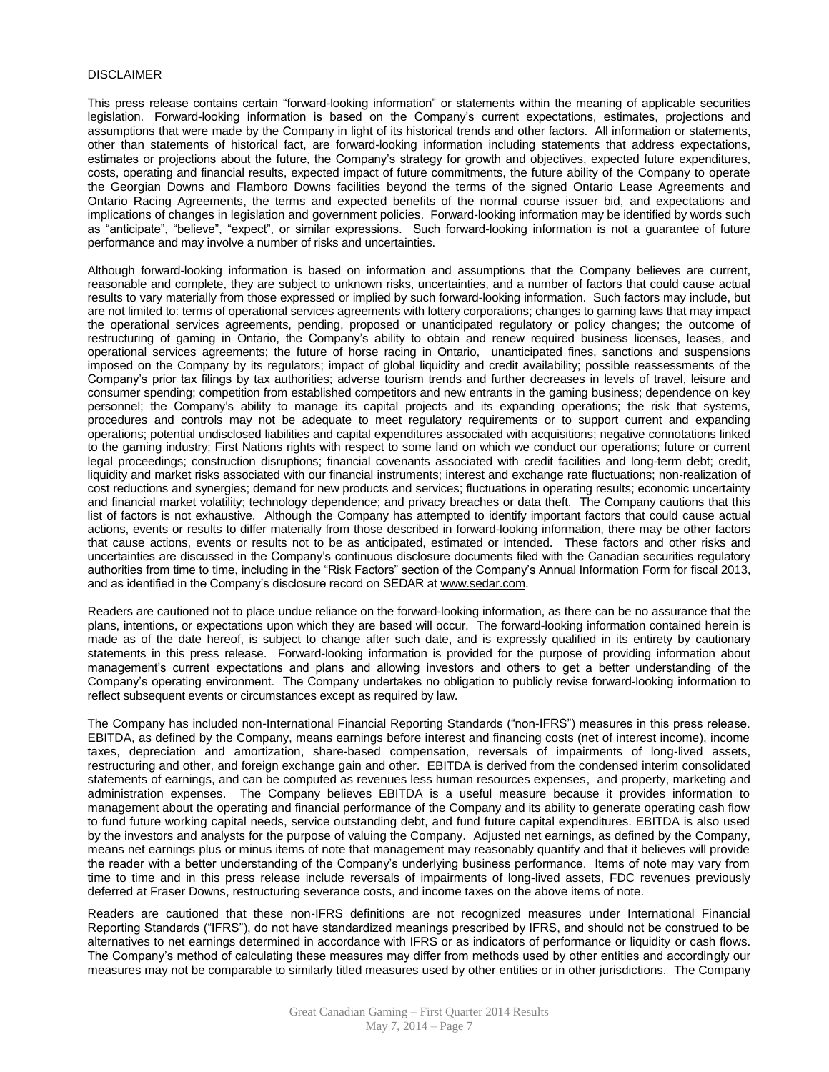#### DISCLAIMER

This press release contains certain "forward-looking information" or statements within the meaning of applicable securities legislation. Forward-looking information is based on the Company's current expectations, estimates, projections and assumptions that were made by the Company in light of its historical trends and other factors. All information or statements, other than statements of historical fact, are forward-looking information including statements that address expectations, estimates or projections about the future, the Company's strategy for growth and objectives, expected future expenditures, costs, operating and financial results, expected impact of future commitments, the future ability of the Company to operate the Georgian Downs and Flamboro Downs facilities beyond the terms of the signed Ontario Lease Agreements and Ontario Racing Agreements, the terms and expected benefits of the normal course issuer bid, and expectations and implications of changes in legislation and government policies. Forward-looking information may be identified by words such as "anticipate", "believe", "expect", or similar expressions. Such forward-looking information is not a guarantee of future performance and may involve a number of risks and uncertainties.

Although forward-looking information is based on information and assumptions that the Company believes are current, reasonable and complete, they are subject to unknown risks, uncertainties, and a number of factors that could cause actual results to vary materially from those expressed or implied by such forward-looking information. Such factors may include, but are not limited to: terms of operational services agreements with lottery corporations; changes to gaming laws that may impact the operational services agreements, pending, proposed or unanticipated regulatory or policy changes; the outcome of restructuring of gaming in Ontario, the Company's ability to obtain and renew required business licenses, leases, and operational services agreements; the future of horse racing in Ontario, unanticipated fines, sanctions and suspensions imposed on the Company by its regulators; impact of global liquidity and credit availability; possible reassessments of the Company's prior tax filings by tax authorities; adverse tourism trends and further decreases in levels of travel, leisure and consumer spending; competition from established competitors and new entrants in the gaming business; dependence on key personnel; the Company's ability to manage its capital projects and its expanding operations; the risk that systems, procedures and controls may not be adequate to meet regulatory requirements or to support current and expanding operations; potential undisclosed liabilities and capital expenditures associated with acquisitions; negative connotations linked to the gaming industry; First Nations rights with respect to some land on which we conduct our operations; future or current legal proceedings; construction disruptions; financial covenants associated with credit facilities and long-term debt; credit, liquidity and market risks associated with our financial instruments; interest and exchange rate fluctuations; non-realization of cost reductions and synergies; demand for new products and services; fluctuations in operating results; economic uncertainty and financial market volatility; technology dependence; and privacy breaches or data theft. The Company cautions that this list of factors is not exhaustive. Although the Company has attempted to identify important factors that could cause actual actions, events or results to differ materially from those described in forward-looking information, there may be other factors that cause actions, events or results not to be as anticipated, estimated or intended. These factors and other risks and uncertainties are discussed in the Company's continuous disclosure documents filed with the Canadian securities regulatory authorities from time to time, including in the "Risk Factors" section of the Company's Annual Information Form for fiscal 2013, and as identified in the Company's disclosure record on SEDAR a[t www.sedar.com.](http://www.sedar.com/)

Readers are cautioned not to place undue reliance on the forward-looking information, as there can be no assurance that the plans, intentions, or expectations upon which they are based will occur. The forward-looking information contained herein is made as of the date hereof, is subject to change after such date, and is expressly qualified in its entirety by cautionary statements in this press release. Forward-looking information is provided for the purpose of providing information about management's current expectations and plans and allowing investors and others to get a better understanding of the Company's operating environment. The Company undertakes no obligation to publicly revise forward-looking information to reflect subsequent events or circumstances except as required by law.

The Company has included non-International Financial Reporting Standards ("non-IFRS") measures in this press release. EBITDA, as defined by the Company, means earnings before interest and financing costs (net of interest income), income taxes, depreciation and amortization, share-based compensation, reversals of impairments of long-lived assets, restructuring and other, and foreign exchange gain and other. EBITDA is derived from the condensed interim consolidated statements of earnings, and can be computed as revenues less human resources expenses, and property, marketing and administration expenses. The Company believes EBITDA is a useful measure because it provides information to management about the operating and financial performance of the Company and its ability to generate operating cash flow to fund future working capital needs, service outstanding debt, and fund future capital expenditures. EBITDA is also used by the investors and analysts for the purpose of valuing the Company. Adjusted net earnings, as defined by the Company, means net earnings plus or minus items of note that management may reasonably quantify and that it believes will provide the reader with a better understanding of the Company's underlying business performance. Items of note may vary from time to time and in this press release include reversals of impairments of long-lived assets, FDC revenues previously deferred at Fraser Downs, restructuring severance costs, and income taxes on the above items of note.

Readers are cautioned that these non-IFRS definitions are not recognized measures under International Financial Reporting Standards ("IFRS"), do not have standardized meanings prescribed by IFRS, and should not be construed to be alternatives to net earnings determined in accordance with IFRS or as indicators of performance or liquidity or cash flows. The Company's method of calculating these measures may differ from methods used by other entities and accordingly our measures may not be comparable to similarly titled measures used by other entities or in other jurisdictions. The Company